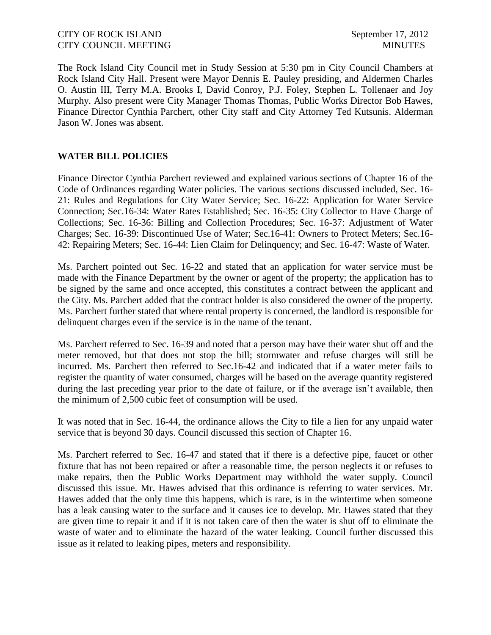The Rock Island City Council met in Study Session at 5:30 pm in City Council Chambers at Rock Island City Hall. Present were Mayor Dennis E. Pauley presiding, and Aldermen Charles O. Austin III, Terry M.A. Brooks I, David Conroy, P.J. Foley, Stephen L. Tollenaer and Joy Murphy. Also present were City Manager Thomas Thomas, Public Works Director Bob Hawes, Finance Director Cynthia Parchert, other City staff and City Attorney Ted Kutsunis. Alderman Jason W. Jones was absent.

# **WATER BILL POLICIES**

Finance Director Cynthia Parchert reviewed and explained various sections of Chapter 16 of the Code of Ordinances regarding Water policies. The various sections discussed included, Sec. 16- 21: Rules and Regulations for City Water Service; Sec. 16-22: Application for Water Service Connection; Sec.16-34: Water Rates Established; Sec. 16-35: City Collector to Have Charge of Collections; Sec. 16-36: Billing and Collection Procedures; Sec. 16-37: Adjustment of Water Charges; Sec. 16-39: Discontinued Use of Water; Sec.16-41: Owners to Protect Meters; Sec.16- 42: Repairing Meters; Sec. 16-44: Lien Claim for Delinquency; and Sec. 16-47: Waste of Water.

Ms. Parchert pointed out Sec. 16-22 and stated that an application for water service must be made with the Finance Department by the owner or agent of the property; the application has to be signed by the same and once accepted, this constitutes a contract between the applicant and the City. Ms. Parchert added that the contract holder is also considered the owner of the property. Ms. Parchert further stated that where rental property is concerned, the landlord is responsible for delinquent charges even if the service is in the name of the tenant.

Ms. Parchert referred to Sec. 16-39 and noted that a person may have their water shut off and the meter removed, but that does not stop the bill; stormwater and refuse charges will still be incurred. Ms. Parchert then referred to Sec.16-42 and indicated that if a water meter fails to register the quantity of water consumed, charges will be based on the average quantity registered during the last preceding year prior to the date of failure, or if the average isn't available, then the minimum of 2,500 cubic feet of consumption will be used.

It was noted that in Sec. 16-44, the ordinance allows the City to file a lien for any unpaid water service that is beyond 30 days. Council discussed this section of Chapter 16.

Ms. Parchert referred to Sec. 16-47 and stated that if there is a defective pipe, faucet or other fixture that has not been repaired or after a reasonable time, the person neglects it or refuses to make repairs, then the Public Works Department may withhold the water supply. Council discussed this issue. Mr. Hawes advised that this ordinance is referring to water services. Mr. Hawes added that the only time this happens, which is rare, is in the wintertime when someone has a leak causing water to the surface and it causes ice to develop. Mr. Hawes stated that they are given time to repair it and if it is not taken care of then the water is shut off to eliminate the waste of water and to eliminate the hazard of the water leaking. Council further discussed this issue as it related to leaking pipes, meters and responsibility.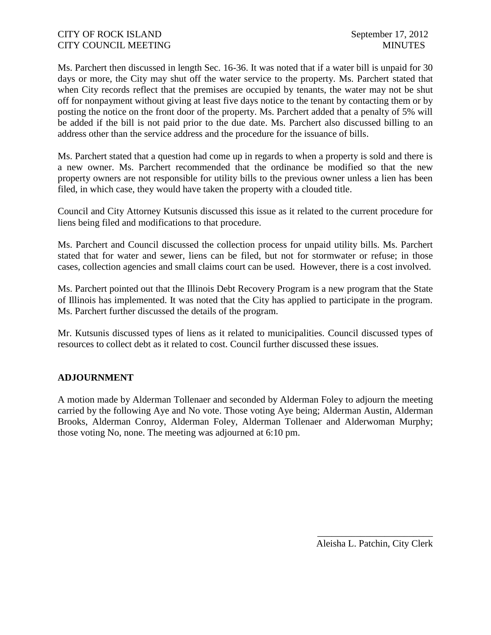Ms. Parchert then discussed in length Sec. 16-36. It was noted that if a water bill is unpaid for 30 days or more, the City may shut off the water service to the property. Ms. Parchert stated that when City records reflect that the premises are occupied by tenants, the water may not be shut off for nonpayment without giving at least five days notice to the tenant by contacting them or by posting the notice on the front door of the property. Ms. Parchert added that a penalty of 5% will be added if the bill is not paid prior to the due date. Ms. Parchert also discussed billing to an address other than the service address and the procedure for the issuance of bills.

Ms. Parchert stated that a question had come up in regards to when a property is sold and there is a new owner. Ms. Parchert recommended that the ordinance be modified so that the new property owners are not responsible for utility bills to the previous owner unless a lien has been filed, in which case, they would have taken the property with a clouded title.

Council and City Attorney Kutsunis discussed this issue as it related to the current procedure for liens being filed and modifications to that procedure.

Ms. Parchert and Council discussed the collection process for unpaid utility bills. Ms. Parchert stated that for water and sewer, liens can be filed, but not for stormwater or refuse; in those cases, collection agencies and small claims court can be used. However, there is a cost involved.

Ms. Parchert pointed out that the Illinois Debt Recovery Program is a new program that the State of Illinois has implemented. It was noted that the City has applied to participate in the program. Ms. Parchert further discussed the details of the program.

Mr. Kutsunis discussed types of liens as it related to municipalities. Council discussed types of resources to collect debt as it related to cost. Council further discussed these issues.

#### **ADJOURNMENT**

A motion made by Alderman Tollenaer and seconded by Alderman Foley to adjourn the meeting carried by the following Aye and No vote. Those voting Aye being; Alderman Austin, Alderman Brooks, Alderman Conroy, Alderman Foley, Alderman Tollenaer and Alderwoman Murphy; those voting No, none. The meeting was adjourned at 6:10 pm.

> \_\_\_\_\_\_\_\_\_\_\_\_\_\_\_\_\_\_\_\_\_\_\_\_ Aleisha L. Patchin, City Clerk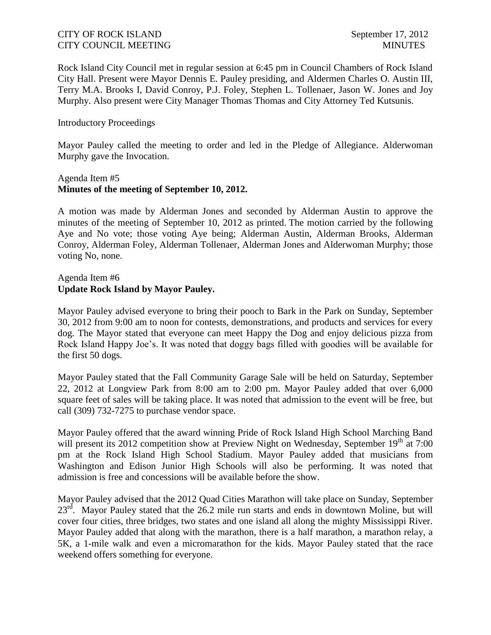Rock Island City Council met in regular session at 6:45 pm in Council Chambers of Rock Island City Hall. Present were Mayor Dennis E. Pauley presiding, and Aldermen Charles O. Austin III, Terry M.A. Brooks I, David Conroy, P.J. Foley, Stephen L. Tollenaer, Jason W. Jones and Joy Murphy. Also present were City Manager Thomas Thomas and City Attorney Ted Kutsunis.

#### Introductory Proceedings

Mayor Pauley called the meeting to order and led in the Pledge of Allegiance. Alderwoman Murphy gave the Invocation.

## Agenda Item #5 **Minutes of the meeting of September 10, 2012.**

A motion was made by Alderman Jones and seconded by Alderman Austin to approve the minutes of the meeting of September 10, 2012 as printed. The motion carried by the following Aye and No vote; those voting Aye being; Alderman Austin, Alderman Brooks, Alderman Conroy, Alderman Foley, Alderman Tollenaer, Alderman Jones and Alderwoman Murphy; those voting No, none.

# Agenda Item #6 **Update Rock Island by Mayor Pauley.**

Mayor Pauley advised everyone to bring their pooch to Bark in the Park on Sunday, September 30, 2012 from 9:00 am to noon for contests, demonstrations, and products and services for every dog. The Mayor stated that everyone can meet Happy the Dog and enjoy delicious pizza from Rock Island Happy Joe's. It was noted that doggy bags filled with goodies will be available for the first 50 dogs.

Mayor Pauley stated that the Fall Community Garage Sale will be held on Saturday, September 22, 2012 at Longview Park from 8:00 am to 2:00 pm. Mayor Pauley added that over 6,000 square feet of sales will be taking place. It was noted that admission to the event will be free, but call (309) 732-7275 to purchase vendor space.

Mayor Pauley offered that the award winning Pride of Rock Island High School Marching Band will present its 2012 competition show at Preview Night on Wednesday, September  $19<sup>th</sup>$  at 7:00 pm at the Rock Island High School Stadium. Mayor Pauley added that musicians from Washington and Edison Junior High Schools will also be performing. It was noted that admission is free and concessions will be available before the show.

Mayor Pauley advised that the 2012 Quad Cities Marathon will take place on Sunday, September 23<sup>rd</sup>. Mayor Pauley stated that the 26.2 mile run starts and ends in downtown Moline, but will cover four cities, three bridges, two states and one island all along the mighty Mississippi River. Mayor Pauley added that along with the marathon, there is a half marathon, a marathon relay, a 5K, a 1-mile walk and even a micromarathon for the kids. Mayor Pauley stated that the race weekend offers something for everyone.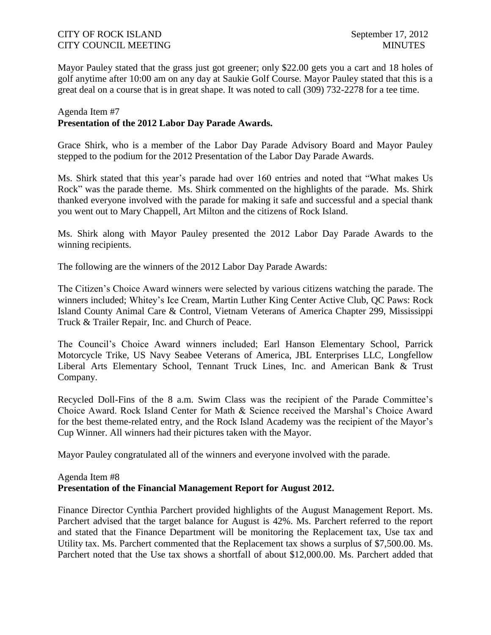Mayor Pauley stated that the grass just got greener; only \$22.00 gets you a cart and 18 holes of golf anytime after 10:00 am on any day at Saukie Golf Course. Mayor Pauley stated that this is a great deal on a course that is in great shape. It was noted to call (309) 732-2278 for a tee time.

# Agenda Item #7 **Presentation of the 2012 Labor Day Parade Awards.**

Grace Shirk, who is a member of the Labor Day Parade Advisory Board and Mayor Pauley stepped to the podium for the 2012 Presentation of the Labor Day Parade Awards.

Ms. Shirk stated that this year's parade had over 160 entries and noted that "What makes Us Rock" was the parade theme. Ms. Shirk commented on the highlights of the parade. Ms. Shirk thanked everyone involved with the parade for making it safe and successful and a special thank you went out to Mary Chappell, Art Milton and the citizens of Rock Island.

Ms. Shirk along with Mayor Pauley presented the 2012 Labor Day Parade Awards to the winning recipients.

The following are the winners of the 2012 Labor Day Parade Awards:

The Citizen's Choice Award winners were selected by various citizens watching the parade. The winners included; Whitey's Ice Cream, Martin Luther King Center Active Club, QC Paws: Rock Island County Animal Care & Control, Vietnam Veterans of America Chapter 299, Mississippi Truck & Trailer Repair, Inc. and Church of Peace.

The Council's Choice Award winners included; Earl Hanson Elementary School, Parrick Motorcycle Trike, US Navy Seabee Veterans of America, JBL Enterprises LLC, Longfellow Liberal Arts Elementary School, Tennant Truck Lines, Inc. and American Bank & Trust Company.

Recycled Doll-Fins of the 8 a.m. Swim Class was the recipient of the Parade Committee's Choice Award. Rock Island Center for Math & Science received the Marshal's Choice Award for the best theme-related entry, and the Rock Island Academy was the recipient of the Mayor's Cup Winner. All winners had their pictures taken with the Mayor.

Mayor Pauley congratulated all of the winners and everyone involved with the parade.

#### Agenda Item #8 **Presentation of the Financial Management Report for August 2012.**

Finance Director Cynthia Parchert provided highlights of the August Management Report. Ms. Parchert advised that the target balance for August is 42%. Ms. Parchert referred to the report and stated that the Finance Department will be monitoring the Replacement tax, Use tax and Utility tax. Ms. Parchert commented that the Replacement tax shows a surplus of \$7,500.00. Ms. Parchert noted that the Use tax shows a shortfall of about \$12,000.00. Ms. Parchert added that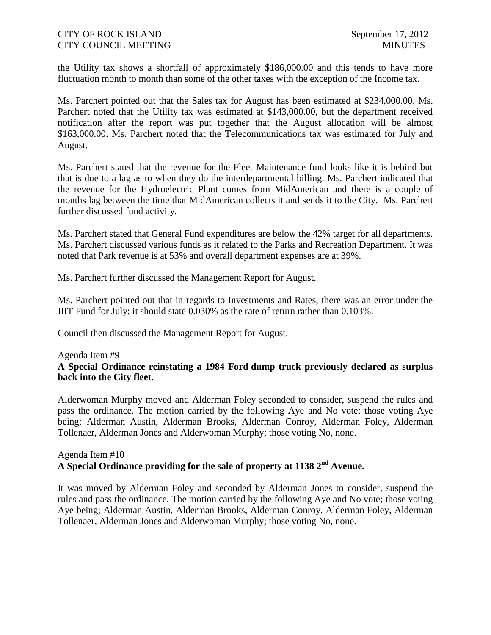the Utility tax shows a shortfall of approximately \$186,000.00 and this tends to have more fluctuation month to month than some of the other taxes with the exception of the Income tax.

Ms. Parchert pointed out that the Sales tax for August has been estimated at \$234,000.00. Ms. Parchert noted that the Utility tax was estimated at \$143,000.00, but the department received notification after the report was put together that the August allocation will be almost \$163,000.00. Ms. Parchert noted that the Telecommunications tax was estimated for July and August.

Ms. Parchert stated that the revenue for the Fleet Maintenance fund looks like it is behind but that is due to a lag as to when they do the interdepartmental billing. Ms. Parchert indicated that the revenue for the Hydroelectric Plant comes from MidAmerican and there is a couple of months lag between the time that MidAmerican collects it and sends it to the City. Ms. Parchert further discussed fund activity.

Ms. Parchert stated that General Fund expenditures are below the 42% target for all departments. Ms. Parchert discussed various funds as it related to the Parks and Recreation Department. It was noted that Park revenue is at 53% and overall department expenses are at 39%.

Ms. Parchert further discussed the Management Report for August.

Ms. Parchert pointed out that in regards to Investments and Rates, there was an error under the IIIT Fund for July; it should state 0.030% as the rate of return rather than 0.103%.

Council then discussed the Management Report for August.

#### Agenda Item #9

## **A Special Ordinance reinstating a 1984 Ford dump truck previously declared as surplus back into the City fleet**.

Alderwoman Murphy moved and Alderman Foley seconded to consider, suspend the rules and pass the ordinance. The motion carried by the following Aye and No vote; those voting Aye being; Alderman Austin, Alderman Brooks, Alderman Conroy, Alderman Foley, Alderman Tollenaer, Alderman Jones and Alderwoman Murphy; those voting No, none.

## Agenda Item #10 **A Special Ordinance providing for the sale of property at 1138 2nd Avenue.**

It was moved by Alderman Foley and seconded by Alderman Jones to consider, suspend the rules and pass the ordinance. The motion carried by the following Aye and No vote; those voting Aye being; Alderman Austin, Alderman Brooks, Alderman Conroy, Alderman Foley, Alderman Tollenaer, Alderman Jones and Alderwoman Murphy; those voting No, none.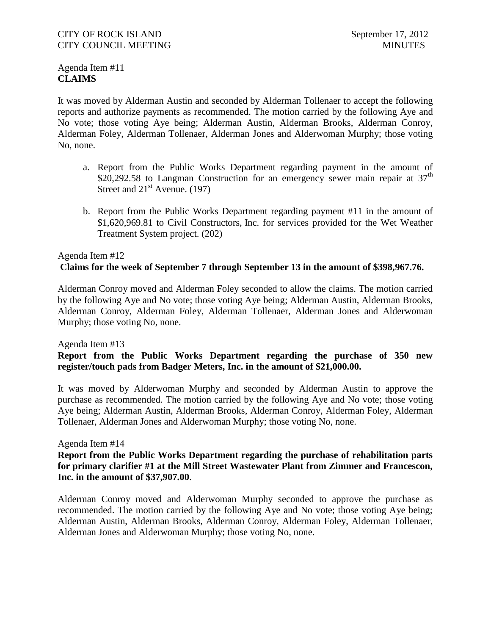# Agenda Item #11 **CLAIMS**

It was moved by Alderman Austin and seconded by Alderman Tollenaer to accept the following reports and authorize payments as recommended. The motion carried by the following Aye and No vote; those voting Aye being; Alderman Austin, Alderman Brooks, Alderman Conroy, Alderman Foley, Alderman Tollenaer, Alderman Jones and Alderwoman Murphy; those voting No, none.

- a. Report from the Public Works Department regarding payment in the amount of \$20,292.58 to Langman Construction for an emergency sewer main repair at  $37<sup>th</sup>$ Street and  $21<sup>st</sup>$  Avenue. (197)
- b. Report from the Public Works Department regarding payment #11 in the amount of \$1,620,969.81 to Civil Constructors, Inc. for services provided for the Wet Weather Treatment System project. (202)

# Agenda Item #12 **Claims for the week of September 7 through September 13 in the amount of \$398,967.76.**

Alderman Conroy moved and Alderman Foley seconded to allow the claims. The motion carried by the following Aye and No vote; those voting Aye being; Alderman Austin, Alderman Brooks, Alderman Conroy, Alderman Foley, Alderman Tollenaer, Alderman Jones and Alderwoman Murphy; those voting No, none.

#### Agenda Item #13

# **Report from the Public Works Department regarding the purchase of 350 new register/touch pads from Badger Meters, Inc. in the amount of \$21,000.00.**

It was moved by Alderwoman Murphy and seconded by Alderman Austin to approve the purchase as recommended. The motion carried by the following Aye and No vote; those voting Aye being; Alderman Austin, Alderman Brooks, Alderman Conroy, Alderman Foley, Alderman Tollenaer, Alderman Jones and Alderwoman Murphy; those voting No, none.

#### Agenda Item #14

## **Report from the Public Works Department regarding the purchase of rehabilitation parts for primary clarifier #1 at the Mill Street Wastewater Plant from Zimmer and Francescon, Inc. in the amount of \$37,907.00**.

Alderman Conroy moved and Alderwoman Murphy seconded to approve the purchase as recommended. The motion carried by the following Aye and No vote; those voting Aye being; Alderman Austin, Alderman Brooks, Alderman Conroy, Alderman Foley, Alderman Tollenaer, Alderman Jones and Alderwoman Murphy; those voting No, none.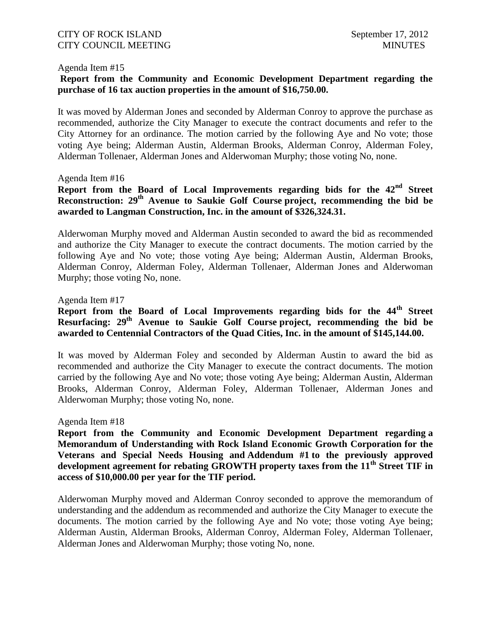#### Agenda Item #15

# **Report from the Community and Economic Development Department regarding the purchase of 16 tax auction properties in the amount of \$16,750.00.**

It was moved by Alderman Jones and seconded by Alderman Conroy to approve the purchase as recommended, authorize the City Manager to execute the contract documents and refer to the City Attorney for an ordinance. The motion carried by the following Aye and No vote; those voting Aye being; Alderman Austin, Alderman Brooks, Alderman Conroy, Alderman Foley, Alderman Tollenaer, Alderman Jones and Alderwoman Murphy; those voting No, none.

#### Agenda Item #16

**Report from the Board of Local Improvements regarding bids for the 42nd Street Reconstruction: 29th Avenue to Saukie Golf Course project, recommending the bid be awarded to Langman Construction, Inc. in the amount of \$326,324.31.**

Alderwoman Murphy moved and Alderman Austin seconded to award the bid as recommended and authorize the City Manager to execute the contract documents. The motion carried by the following Aye and No vote; those voting Aye being; Alderman Austin, Alderman Brooks, Alderman Conroy, Alderman Foley, Alderman Tollenaer, Alderman Jones and Alderwoman Murphy; those voting No, none.

#### Agenda Item #17

# **Report from the Board of Local Improvements regarding bids for the 44th Street Resurfacing: 29th Avenue to Saukie Golf Course project, recommending the bid be awarded to Centennial Contractors of the Quad Cities, Inc. in the amount of \$145,144.00.**

It was moved by Alderman Foley and seconded by Alderman Austin to award the bid as recommended and authorize the City Manager to execute the contract documents. The motion carried by the following Aye and No vote; those voting Aye being; Alderman Austin, Alderman Brooks, Alderman Conroy, Alderman Foley, Alderman Tollenaer, Alderman Jones and Alderwoman Murphy; those voting No, none.

#### Agenda Item #18

**Report from the Community and Economic Development Department regarding a Memorandum of Understanding with Rock Island Economic Growth Corporation for the Veterans and Special Needs Housing and Addendum #1 to the previously approved development agreement for rebating GROWTH property taxes from the 11th Street TIF in access of \$10,000.00 per year for the TIF period.**

Alderwoman Murphy moved and Alderman Conroy seconded to approve the memorandum of understanding and the addendum as recommended and authorize the City Manager to execute the documents. The motion carried by the following Aye and No vote; those voting Aye being; Alderman Austin, Alderman Brooks, Alderman Conroy, Alderman Foley, Alderman Tollenaer, Alderman Jones and Alderwoman Murphy; those voting No, none.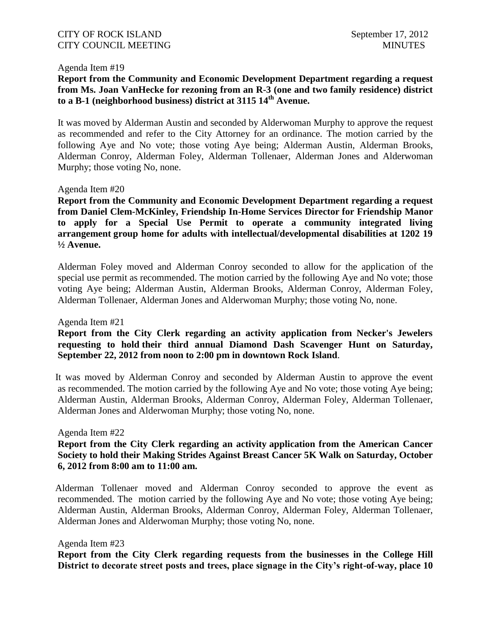#### Agenda Item #19

# **Report from the Community and Economic Development Department regarding a request from Ms. Joan VanHecke for rezoning from an R-3 (one and two family residence) district to a B-1 (neighborhood business) district at 3115 14th Avenue.**

It was moved by Alderman Austin and seconded by Alderwoman Murphy to approve the request as recommended and refer to the City Attorney for an ordinance. The motion carried by the following Aye and No vote; those voting Aye being; Alderman Austin, Alderman Brooks, Alderman Conroy, Alderman Foley, Alderman Tollenaer, Alderman Jones and Alderwoman Murphy; those voting No, none.

#### Agenda Item #20

**Report from the Community and Economic Development Department regarding a request from Daniel Clem-McKinley, Friendship In-Home Services Director for Friendship Manor to apply for a Special Use Permit to operate a community integrated living arrangement group home for adults with intellectual/developmental disabilities at 1202 19 ½ Avenue.**

Alderman Foley moved and Alderman Conroy seconded to allow for the application of the special use permit as recommended. The motion carried by the following Aye and No vote; those voting Aye being; Alderman Austin, Alderman Brooks, Alderman Conroy, Alderman Foley, Alderman Tollenaer, Alderman Jones and Alderwoman Murphy; those voting No, none.

Agenda Item #21

## **Report from the City Clerk regarding an activity application from Necker's Jewelers requesting to hold their third annual Diamond Dash Scavenger Hunt on Saturday, September 22, 2012 from noon to 2:00 pm in downtown Rock Island**.

 It was moved by Alderman Conroy and seconded by Alderman Austin to approve the event as recommended. The motion carried by the following Aye and No vote; those voting Aye being; Alderman Austin, Alderman Brooks, Alderman Conroy, Alderman Foley, Alderman Tollenaer, Alderman Jones and Alderwoman Murphy; those voting No, none.

Agenda Item #22

# **Report from the City Clerk regarding an activity application from the American Cancer Society to hold their Making Strides Against Breast Cancer 5K Walk on Saturday, October 6, 2012 from 8:00 am to 11:00 am.**

 Alderman Tollenaer moved and Alderman Conroy seconded to approve the event as recommended. The motion carried by the following Aye and No vote; those voting Aye being; Alderman Austin, Alderman Brooks, Alderman Conroy, Alderman Foley, Alderman Tollenaer, Alderman Jones and Alderwoman Murphy; those voting No, none.

#### Agenda Item #23

**Report from the City Clerk regarding requests from the businesses in the College Hill District to decorate street posts and trees, place signage in the City's right-of-way, place 10**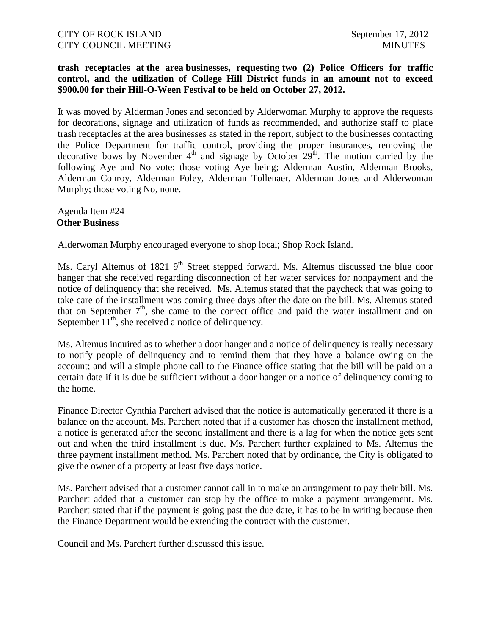## **trash receptacles at the area businesses, requesting two (2) Police Officers for traffic control, and the utilization of College Hill District funds in an amount not to exceed \$900.00 for their Hill-O-Ween Festival to be held on October 27, 2012.**

It was moved by Alderman Jones and seconded by Alderwoman Murphy to approve the requests for decorations, signage and utilization of funds as recommended, and authorize staff to place trash receptacles at the area businesses as stated in the report, subject to the businesses contacting the Police Department for traffic control, providing the proper insurances, removing the decorative bows by November  $4<sup>th</sup>$  and signage by October  $29<sup>th</sup>$ . The motion carried by the following Aye and No vote; those voting Aye being; Alderman Austin, Alderman Brooks, Alderman Conroy, Alderman Foley, Alderman Tollenaer, Alderman Jones and Alderwoman Murphy; those voting No, none.

#### Agenda Item #24 **Other Business**

Alderwoman Murphy encouraged everyone to shop local; Shop Rock Island.

Ms. Caryl Altemus of 1821  $9<sup>th</sup>$  Street stepped forward. Ms. Altemus discussed the blue door hanger that she received regarding disconnection of her water services for nonpayment and the notice of delinquency that she received. Ms. Altemus stated that the paycheck that was going to take care of the installment was coming three days after the date on the bill. Ms. Altemus stated that on September  $7<sup>th</sup>$ , she came to the correct office and paid the water installment and on September  $11<sup>th</sup>$ , she received a notice of delinquency.

Ms. Altemus inquired as to whether a door hanger and a notice of delinquency is really necessary to notify people of delinquency and to remind them that they have a balance owing on the account; and will a simple phone call to the Finance office stating that the bill will be paid on a certain date if it is due be sufficient without a door hanger or a notice of delinquency coming to the home.

Finance Director Cynthia Parchert advised that the notice is automatically generated if there is a balance on the account. Ms. Parchert noted that if a customer has chosen the installment method, a notice is generated after the second installment and there is a lag for when the notice gets sent out and when the third installment is due. Ms. Parchert further explained to Ms. Altemus the three payment installment method. Ms. Parchert noted that by ordinance, the City is obligated to give the owner of a property at least five days notice.

Ms. Parchert advised that a customer cannot call in to make an arrangement to pay their bill. Ms. Parchert added that a customer can stop by the office to make a payment arrangement. Ms. Parchert stated that if the payment is going past the due date, it has to be in writing because then the Finance Department would be extending the contract with the customer.

Council and Ms. Parchert further discussed this issue.